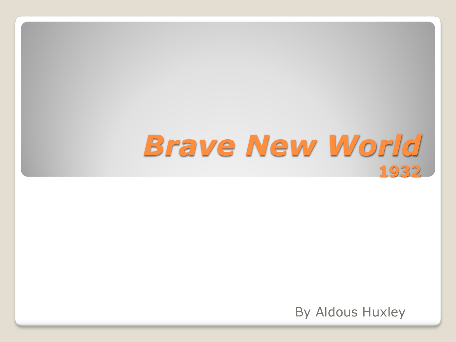## *Brave New World* **1932**

By Aldous Huxley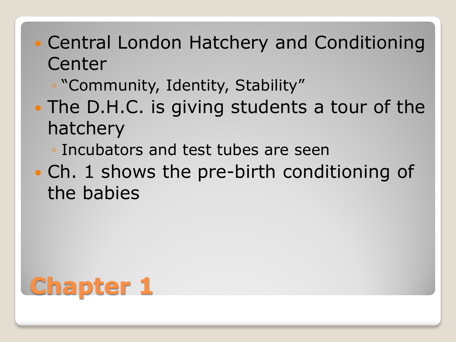- Central London Hatchery and Conditioning Center
	- "Community, Identity, Stability"
- The D.H.C. is giving students a tour of the hatchery
	- Incubators and test tubes are seen
- Ch. 1 shows the pre-birth conditioning of the babies

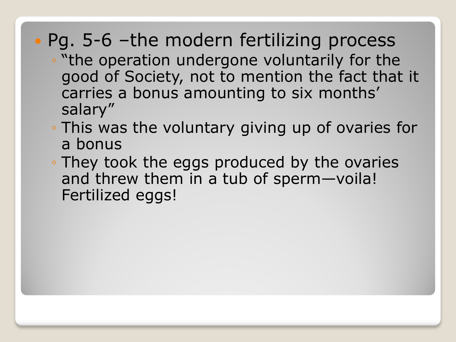### • Pg. 5-6 –the modern fertilizing process

- "the operation undergone voluntarily for the good of Society, not to mention the fact that it carries a bonus amounting to six months' salary"
- This was the voluntary giving up of ovaries for a bonus
- They took the eggs produced by the ovaries and threw them in a tub of sperm—voila! Fertilized eggs!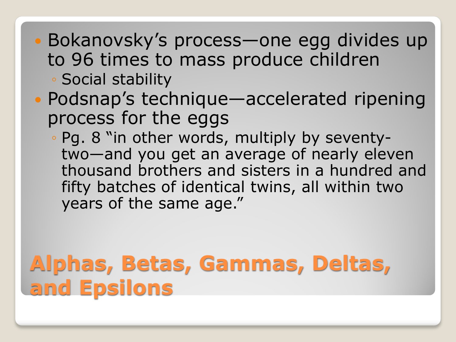- Bokanovsky's process—one egg divides up to 96 times to mass produce children ◦ Social stability
- Podsnap's technique—accelerated ripening process for the eggs
	- Pg. 8 "in other words, multiply by seventytwo—and you get an average of nearly eleven thousand brothers and sisters in a hundred and fifty batches of identical twins, all within two years of the same age."

## **Alphas, Betas, Gammas, Deltas, and Epsilons**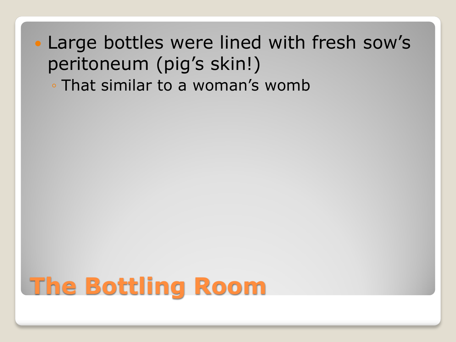Large bottles were lined with fresh sow's peritoneum (pig's skin!) ◦ That similar to a woman's womb

# **The Bottling Room**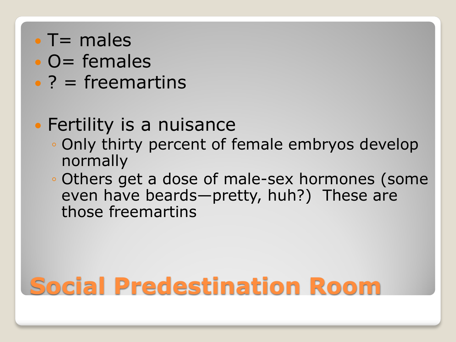- $\cdot$  T = males
- $\bullet$  O= females
- $\bullet$  ? = freemartins

#### **• Fertility is a nuisance**

- Only thirty percent of female embryos develop normally
- Others get a dose of male-sex hormones (some even have beards—pretty, huh?) These are those freemartins

# **Social Predestination Room**